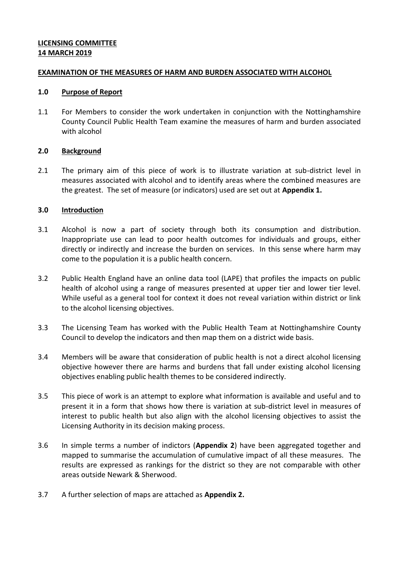# **LICENSING COMMITTEE 14 MARCH 2019**

# **EXAMINATION OF THE MEASURES OF HARM AND BURDEN ASSOCIATED WITH ALCOHOL**

#### **1.0 Purpose of Report**

1.1 For Members to consider the work undertaken in conjunction with the Nottinghamshire County Council Public Health Team examine the measures of harm and burden associated with alcohol

# **2.0 Background**

2.1 The primary aim of this piece of work is to illustrate variation at sub-district level in measures associated with alcohol and to identify areas where the combined measures are the greatest. The set of measure (or indicators) used are set out at **Appendix 1.**

# **3.0 Introduction**

- 3.1 Alcohol is now a part of society through both its consumption and distribution. Inappropriate use can lead to poor health outcomes for individuals and groups, either directly or indirectly and increase the burden on services. In this sense where harm may come to the population it is a public health concern.
- 3.2 Public Health England have an online data tool (LAPE) that profiles the impacts on public health of alcohol using a range of measures presented at upper tier and lower tier level. While useful as a general tool for context it does not reveal variation within district or link to the alcohol licensing objectives.
- 3.3 The Licensing Team has worked with the Public Health Team at Nottinghamshire County Council to develop the indicators and then map them on a district wide basis.
- 3.4 Members will be aware that consideration of public health is not a direct alcohol licensing objective however there are harms and burdens that fall under existing alcohol licensing objectives enabling public health themes to be considered indirectly.
- 3.5 This piece of work is an attempt to explore what information is available and useful and to present it in a form that shows how there is variation at sub-district level in measures of interest to public health but also align with the alcohol licensing objectives to assist the Licensing Authority in its decision making process.
- 3.6 In simple terms a number of indictors (**Appendix 2**) have been aggregated together and mapped to summarise the accumulation of cumulative impact of all these measures. The results are expressed as rankings for the district so they are not comparable with other areas outside Newark & Sherwood.
- 3.7 A further selection of maps are attached as **Appendix 2.**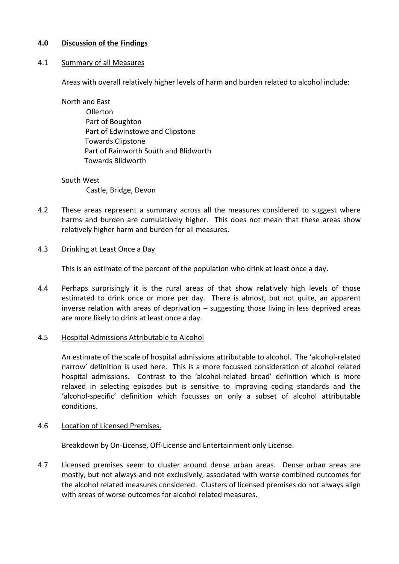# **4.0 Discussion of the Findings**

# 4.1 Summary of all Measures

Areas with overall relatively higher levels of harm and burden related to alcohol include:

North and East Ollerton Part of Boughton Part of Edwinstowe and Clipstone Towards Clipstone Part of Rainworth South and Blidworth Towards Blidworth

#### South West

Castle, Bridge, Devon

4.2 These areas represent a summary across all the measures considered to suggest where harms and burden are cumulatively higher. This does not mean that these areas show relatively higher harm and burden for all measures.

# 4.3 Drinking at Least Once a Day

This is an estimate of the percent of the population who drink at least once a day.

4.4 Perhaps surprisingly it is the rural areas of that show relatively high levels of those estimated to drink once or more per day. There is almost, but not quite, an apparent inverse relation with areas of deprivation – suggesting those living in less deprived areas are more likely to drink at least once a day.

# 4.5 Hospital Admissions Attributable to Alcohol

An estimate of the scale of hospital admissions attributable to alcohol. The 'alcohol-related narrow' definition is used here. This is a more focussed consideration of alcohol related hospital admissions. Contrast to the 'alcohol-related broad' definition which is more relaxed in selecting episodes but is sensitive to improving coding standards and the 'alcohol-specific' definition which focusses on only a subset of alcohol attributable conditions.

# 4.6 Location of Licensed Premises.

Breakdown by On-License, Off-License and Entertainment only License.

4.7 Licensed premises seem to cluster around dense urban areas. Dense urban areas are mostly, but not always and not exclusively, associated with worse combined outcomes for the alcohol related measures considered. Clusters of licensed premises do not always align with areas of worse outcomes for alcohol related measures.